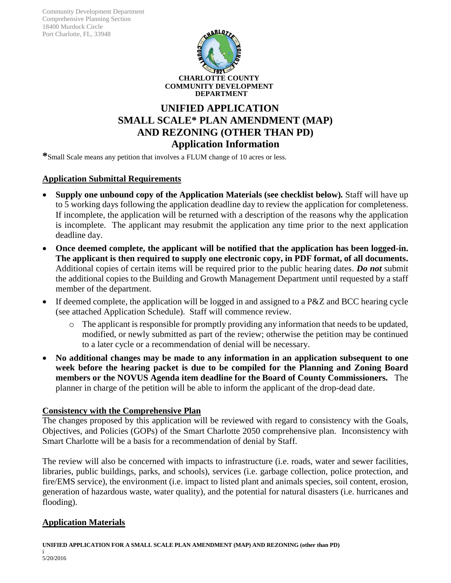Community Development Department Comprehensive Planning Section 18400 Murdock Circle Port Charlotte, FL, 33948



# **UNIFIED APPLICATION SMALL SCALE\* PLAN AMENDMENT (MAP) AND REZONING (OTHER THAN PD) Application Information**

**\***Small Scale means any petition that involves a FLUM change of 10 acres or less.

### **Application Submittal Requirements**

- **Supply one unbound copy of the Application Materials (see checklist below)***.* Staff will have up to 5 working days following the application deadline day to review the application for completeness. If incomplete, the application will be returned with a description of the reasons why the application is incomplete. The applicant may resubmit the application any time prior to the next application deadline day.
- **Once deemed complete, the applicant will be notified that the application has been logged-in. The applicant is then required to supply one electronic copy, in PDF format, of all documents.** Additional copies of certain items will be required prior to the public hearing dates. *Do not* submit the additional copies to the Building and Growth Management Department until requested by a staff member of the department.
- If deemed complete, the application will be logged in and assigned to a P&Z and BCC hearing cycle (see attached Application Schedule). Staff will commence review.
	- o The applicant is responsible for promptly providing any information that needs to be updated, modified, or newly submitted as part of the review; otherwise the petition may be continued to a later cycle or a recommendation of denial will be necessary.
- **No additional changes may be made to any information in an application subsequent to one week before the hearing packet is due to be compiled for the Planning and Zoning Board members or the NOVUS Agenda item deadline for the Board of County Commissioners.** The planner in charge of the petition will be able to inform the applicant of the drop-dead date.

#### **Consistency with the Comprehensive Plan**

The changes proposed by this application will be reviewed with regard to consistency with the Goals, Objectives, and Policies (GOPs) of the Smart Charlotte 2050 comprehensive plan. Inconsistency with Smart Charlotte will be a basis for a recommendation of denial by Staff.

The review will also be concerned with impacts to infrastructure (i.e. roads, water and sewer facilities, libraries, public buildings, parks, and schools), services (i.e. garbage collection, police protection, and fire/EMS service), the environment (i.e. impact to listed plant and animals species, soil content, erosion, generation of hazardous waste, water quality), and the potential for natural disasters (i.e. hurricanes and flooding).

## **Application Materials**

**UNIFIED APPLICATION FOR A SMALL SCALE PLAN AMENDMENT (MAP) AND REZONING (other than PD)**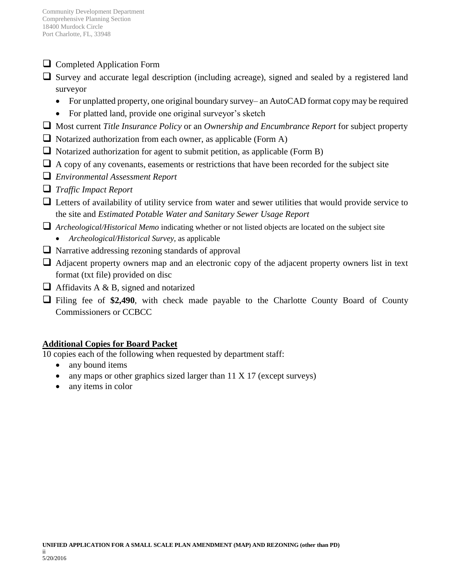- **Q** Completed Application Form
- $\Box$  Survey and accurate legal description (including acreage), signed and sealed by a registered land surveyor
	- For unplatted property, one original boundary survey— an AutoCAD format copy may be required
	- For platted land, provide one original surveyor's sketch
- Most current *Title Insurance Policy* or an *Ownership and Encumbrance Report* for subject property
- $\Box$  Notarized authorization from each owner, as applicable (Form A)
- $\Box$  Notarized authorization for agent to submit petition, as applicable (Form B)
- $\Box$  A copy of any covenants, easements or restrictions that have been recorded for the subject site
- *Environmental Assessment Report*
- *Traffic Impact Report*
- $\Box$  Letters of availability of utility service from water and sewer utilities that would provide service to the site and *Estimated Potable Water and Sanitary Sewer Usage Report*
- *Archeological/Historical Memo* indicating whether or not listed objects are located on the subject site
	- *Archeological/Historical Survey,* as applicable
- $\Box$  Narrative addressing rezoning standards of approval
- $\Box$  Adjacent property owners map and an electronic copy of the adjacent property owners list in text format (txt file) provided on disc
- $\Box$  Affidavits A & B, signed and notarized
- Filing fee of **\$2,490**, with check made payable to the Charlotte County Board of County Commissioners or CCBCC

# **Additional Copies for Board Packet**

10 copies each of the following when requested by department staff:

- any bound items
- any maps or other graphics sized larger than 11 X 17 (except surveys)
- any items in color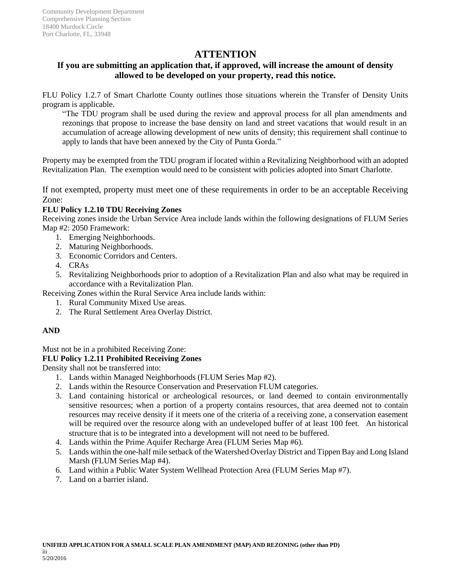# **ATTENTION**

## **If you are submitting an application that, if approved, will increase the amount of density allowed to be developed on your property, read this notice.**

FLU Policy 1.2.7 of Smart Charlotte County outlines those situations wherein the Transfer of Density Units program is applicable.

"The TDU program shall be used during the review and approval process for all plan amendments and rezonings that propose to increase the base density on land and street vacations that would result in an accumulation of acreage allowing development of new units of density; this requirement shall continue to apply to lands that have been annexed by the City of Punta Gorda."

Property may be exempted from the TDU program if located within a Revitalizing Neighborhood with an adopted Revitalization Plan. The exemption would need to be consistent with policies adopted into Smart Charlotte.

If not exempted, property must meet one of these requirements in order to be an acceptable Receiving Zone:

#### **FLU Policy 1.2.10 TDU Receiving Zones**

Receiving zones inside the Urban Service Area include lands within the following designations of FLUM Series Map #2: 2050 Framework:

- 1. Emerging Neighborhoods.
- 2. Maturing Neighborhoods.
- 3. Economic Corridors and Centers.
- 4. CRAs
- 5. Revitalizing Neighborhoods prior to adoption of a Revitalization Plan and also what may be required in accordance with a Revitalization Plan.

Receiving Zones within the Rural Service Area include lands within:

- 1. Rural Community Mixed Use areas.
- 2. The Rural Settlement Area Overlay District.

#### **AND**

Must not be in a prohibited Receiving Zone:

#### **FLU Policy 1.2.11 Prohibited Receiving Zones**

Density shall not be transferred into:

- 1. Lands within Managed Neighborhoods (FLUM Series Map #2).
- 2. Lands within the Resource Conservation and Preservation FLUM categories.
- 3. Land containing historical or archeological resources, or land deemed to contain environmentally sensitive resources; when a portion of a property contains resources, that area deemed not to contain resources may receive density if it meets one of the criteria of a receiving zone, a conservation easement will be required over the resource along with an undeveloped buffer of at least 100 feet. An historical structure that is to be integrated into a development will not need to be buffered.
- 4. Lands within the Prime Aquifer Recharge Area (FLUM Series Map #6).
- 5. Lands within the one-half mile setback of the Watershed Overlay District and Tippen Bay and Long Island Marsh (FLUM Series Map #4).
- 6. Land within a Public Water System Wellhead Protection Area (FLUM Series Map #7).
- 7. Land on a barrier island.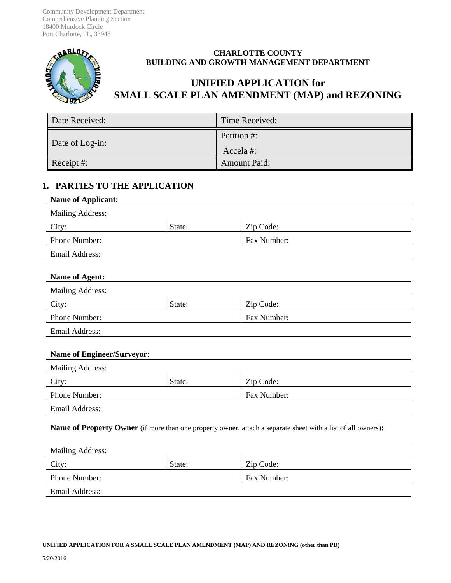Community Development Department Comprehensive Planning Section 18400 Murdock Circle Port Charlotte, FL, 33948



### **CHARLOTTE COUNTY BUILDING AND GROWTH MANAGEMENT DEPARTMENT**

# **UNIFIED APPLICATION for SMALL SCALE PLAN AMENDMENT (MAP) and REZONING**

| Date Received:  | Time Received:          |
|-----------------|-------------------------|
| Date of Log-in: | Petition #:<br>Accela#: |
| Receipt #:      | <b>Amount Paid:</b>     |

## **1. PARTIES TO THE APPLICATION**

#### **Name of Applicant:**

| <b>Mailing Address:</b> |        |             |
|-------------------------|--------|-------------|
| City:                   | State: | Zip Code:   |
| <b>Phone Number:</b>    |        | Fax Number: |
| Email Address:          |        |             |

#### **Name of Agent:**

| <b>Mailing Address:</b> |        |             |
|-------------------------|--------|-------------|
| City:                   | State: | Zip Code:   |
| <b>Phone Number:</b>    |        | Fax Number: |
| __ _ _ _                |        |             |

Email Address:

#### **Name of Engineer/Surveyor:**

| <b>Mailing Address:</b> |        |             |
|-------------------------|--------|-------------|
| City:                   | State: | Zip Code:   |
| Phone Number:           |        | Fax Number: |
| Email Address:          |        |             |

**Name of Property Owner** (if more than one property owner, attach a separate sheet with a list of all owners)**:**

| <b>Mailing Address:</b> |        |             |
|-------------------------|--------|-------------|
| City:                   | State: | Zip Code:   |
| <b>Phone Number:</b>    |        | Fax Number: |
| Email Address:          |        |             |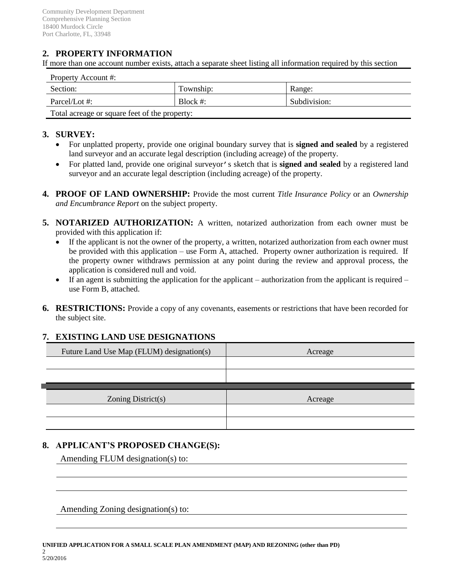# **2. PROPERTY INFORMATION**

If more than one account number exists, attach a separate sheet listing all information required by this section

| Property Account #:                           |             |              |
|-----------------------------------------------|-------------|--------------|
| Section:                                      | Township:   | Range:       |
| Parcel/Lot $\#$ :                             | Block $#$ : | Subdivision: |
| Total acreage or square feet of the property: |             |              |

#### **3. SURVEY:**

- For unplatted property, provide one original boundary survey that is **signed and sealed** by a registered land surveyor and an accurate legal description (including acreage) of the property.
- For platted land, provide one original surveyor's sketch that is **signed and sealed** by a registered land surveyor and an accurate legal description (including acreage) of the property.
- **4. PROOF OF LAND OWNERSHIP:** Provide the most current *Title Insurance Policy* or an *Ownership and Encumbrance Report* on the subject property.
- **5. NOTARIZED AUTHORIZATION:** A written, notarized authorization from each owner must be provided with this application if:
	- If the applicant is not the owner of the property, a written, notarized authorization from each owner must be provided with this application – use Form A, attached. Property owner authorization is required. If the property owner withdraws permission at any point during the review and approval process, the application is considered null and void.
	- If an agent is submitting the application for the applicant authorization from the applicant is required use Form B, attached.
- **6. RESTRICTIONS:** Provide a copy of any covenants, easements or restrictions that have been recorded for the subject site.

#### **7. EXISTING LAND USE DESIGNATIONS**

| Future Land Use Map (FLUM) designation(s) | Acreage |
|-------------------------------------------|---------|
|                                           |         |
|                                           |         |
|                                           |         |
|                                           |         |
| Zoning $District(s)$                      | Acreage |
|                                           |         |

## **8. APPLICANT'S PROPOSED CHANGE(S):**

Amending FLUM designation(s) to:

Amending Zoning designation(s) to: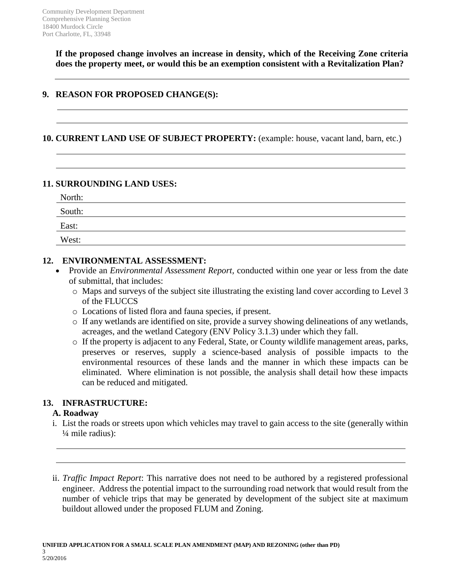**If the proposed change involves an increase in density, which of the Receiving Zone criteria does the property meet, or would this be an exemption consistent with a Revitalization Plan?**

## **9. REASON FOR PROPOSED CHANGE(S):**

#### **10. CURRENT LAND USE OF SUBJECT PROPERTY:** (example: house, vacant land, barn, etc.)

### **11. SURROUNDING LAND USES:**

| North: |  |  |
|--------|--|--|
| South: |  |  |
| East:  |  |  |
| West:  |  |  |

## **12. ENVIRONMENTAL ASSESSMENT:**

- Provide an *Environmental Assessment Report,* conducted within one year or less from the date of submittal, that includes:
	- o Maps and surveys of the subject site illustrating the existing land cover according to Level 3 of the FLUCCS
	- o Locations of listed flora and fauna species, if present.
	- o If any wetlands are identified on site, provide a survey showing delineations of any wetlands, acreages, and the wetland Category (ENV Policy 3.1.3) under which they fall.
	- o If the property is adjacent to any Federal, State, or County wildlife management areas, parks, preserves or reserves, supply a science-based analysis of possible impacts to the environmental resources of these lands and the manner in which these impacts can be eliminated. Where elimination is not possible, the analysis shall detail how these impacts can be reduced and mitigated.

## **13. INFRASTRUCTURE:**

## **A. Roadway**

- i. List the roads or streets upon which vehicles may travel to gain access to the site (generally within ¼ mile radius):
- ii. *Traffic Impact Report*: This narrative does not need to be authored by a registered professional engineer. Address the potential impact to the surrounding road network that would result from the number of vehicle trips that may be generated by development of the subject site at maximum buildout allowed under the proposed FLUM and Zoning.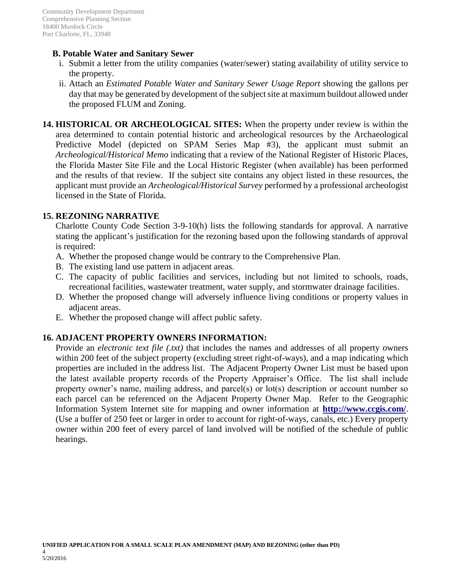## **B. Potable Water and Sanitary Sewer**

- i. Submit a letter from the utility companies (water/sewer) stating availability of utility service to the property.
- ii. Attach an *Estimated Potable Water and Sanitary Sewer Usage Report* showing the gallons per day that may be generated by development of the subject site at maximum buildout allowed under the proposed FLUM and Zoning.

**14. HISTORICAL OR ARCHEOLOGICAL SITES:** When the property under review is within the area determined to contain potential historic and archeological resources by the Archaeological Predictive Model (depicted on SPAM Series Map #3), the applicant must submit an *Archeological/Historical Memo* indicating that a review of the National Register of Historic Places, the Florida Master Site File and the Local Historic Register (when available) has been performed and the results of that review. If the subject site contains any object listed in these resources, the applicant must provide an *Archeological/Historical Survey* performed by a professional archeologist licensed in the State of Florida.

### **15. REZONING NARRATIVE**

Charlotte County Code Section 3-9-10(h) lists the following standards for approval. A narrative stating the applicant's justification for the rezoning based upon the following standards of approval is required:

- A. Whether the proposed change would be contrary to the Comprehensive Plan.
- B. The existing land use pattern in adjacent areas.
- C. The capacity of public facilities and services, including but not limited to schools, roads, recreational facilities, wastewater treatment, water supply, and stormwater drainage facilities.
- D. Whether the proposed change will adversely influence living conditions or property values in adjacent areas.
- E. Whether the proposed change will affect public safety.

## **16. ADJACENT PROPERTY OWNERS INFORMATION:**

Provide an *electronic text file (.txt)* that includes the names and addresses of all property owners within 200 feet of the subject property (excluding street right-of-ways), and a map indicating which properties are included in the address list. The Adjacent Property Owner List must be based upon the latest available property records of the Property Appraiser's Office. The list shall include property owner's name, mailing address, and parcel(s) or lot(s) description or account number so each parcel can be referenced on the Adjacent Property Owner Map. Refer to the Geographic Information System Internet site for mapping and owner information at **http://www.ccgis.com/**. (Use a buffer of 250 feet or larger in order to account for right-of-ways, canals, etc.) Every property owner within 200 feet of every parcel of land involved will be notified of the schedule of public hearings.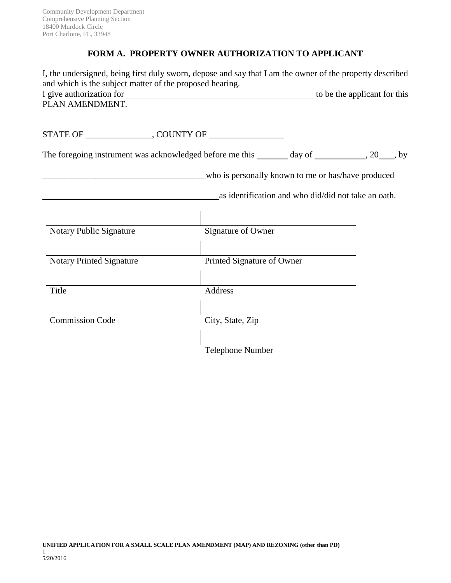## **FORM A. PROPERTY OWNER AUTHORIZATION TO APPLICANT**

| I, the undersigned, being first duly sworn, depose and say that I am the owner of the property described<br>and which is the subject matter of the proposed hearing. |                            |                                                                                                           |
|----------------------------------------------------------------------------------------------------------------------------------------------------------------------|----------------------------|-----------------------------------------------------------------------------------------------------------|
| PLAN AMENDMENT.                                                                                                                                                      |                            |                                                                                                           |
|                                                                                                                                                                      |                            |                                                                                                           |
| The foregoing instrument was acknowledged before me this _______ day of __________, 20____, by                                                                       |                            |                                                                                                           |
|                                                                                                                                                                      |                            | who is personally known to me or has/have produced<br>as identification and who did/did not take an oath. |
| Notary Public Signature                                                                                                                                              | Signature of Owner         |                                                                                                           |
| <b>Notary Printed Signature</b>                                                                                                                                      | Printed Signature of Owner |                                                                                                           |
| Title                                                                                                                                                                | Address                    |                                                                                                           |
| <b>Commission Code</b>                                                                                                                                               | City, State, Zip           |                                                                                                           |
|                                                                                                                                                                      | Telephone Number           |                                                                                                           |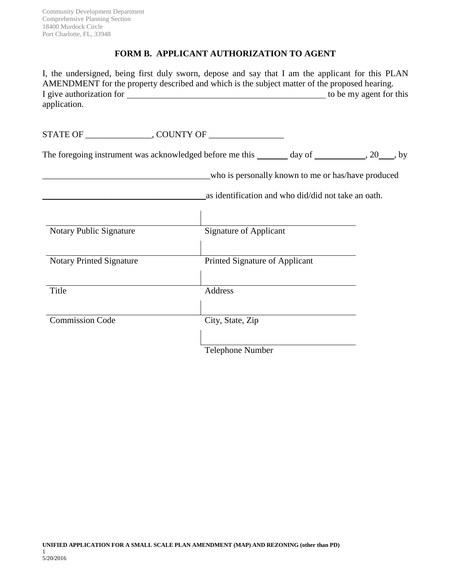## **FORM B. APPLICANT AUTHORIZATION TO AGENT**

I, the undersigned, being first duly sworn, depose and say that I am the applicant for this PLAN AMENDMENT for the property described and which is the subject matter of the proposed hearing. I give authorization for this to be my agent for this application.

STATE OF \_\_\_\_\_\_\_\_\_\_\_\_\_\_\_, COUNTY OF \_\_\_\_\_\_\_\_\_\_\_\_\_\_\_\_\_

The foregoing instrument was acknowledged before me this \_\_\_\_\_\_\_ day of \_\_\_\_\_\_\_\_\_\_, 20\_\_\_\_, by

\_\_\_\_\_\_\_\_\_\_\_\_\_\_\_\_\_\_\_\_\_\_\_\_\_\_\_\_\_\_\_\_\_\_\_\_\_\_who is personally known to me or has/have produced

\_\_\_\_\_\_\_\_\_\_\_\_\_\_\_\_\_\_\_\_\_\_\_\_\_\_\_\_\_\_\_\_\_\_\_\_\_as identification and who did/did not take an oath.

| Notary Public Signature         | <b>Signature of Applicant</b>  |
|---------------------------------|--------------------------------|
|                                 |                                |
| <b>Notary Printed Signature</b> | Printed Signature of Applicant |
|                                 |                                |
| Title                           | Address                        |
|                                 |                                |
| <b>Commission Code</b>          | City, State, Zip               |
|                                 |                                |
|                                 | <b>Telephone Number</b>        |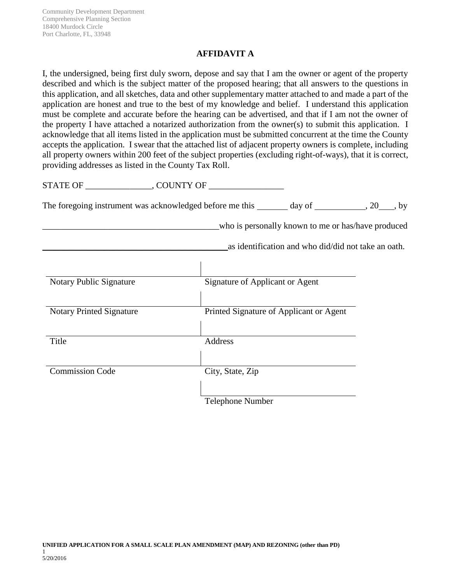## **AFFIDAVIT A**

I, the undersigned, being first duly sworn, depose and say that I am the owner or agent of the property described and which is the subject matter of the proposed hearing; that all answers to the questions in this application, and all sketches, data and other supplementary matter attached to and made a part of the application are honest and true to the best of my knowledge and belief. I understand this application must be complete and accurate before the hearing can be advertised, and that if I am not the owner of the property I have attached a notarized authorization from the owner(s) to submit this application. I acknowledge that all items listed in the application must be submitted concurrent at the time the County accepts the application. I swear that the attached list of adjacent property owners is complete, including all property owners within 200 feet of the subject properties (excluding right-of-ways), that it is correct, providing addresses as listed in the County Tax Roll.

STATE OF GUNTY OF

The foregoing instrument was acknowledged before me this  $\_\_$  day of  $\_\_$ , 20  $\_\_$ , by

\_\_\_\_\_\_\_\_\_\_\_\_\_\_\_\_\_\_\_\_\_\_\_\_\_\_\_\_\_\_\_\_\_\_\_\_\_\_\_\_who is personally known to me or has/have produced

\_\_\_\_\_\_\_\_\_\_\_\_\_\_\_\_\_\_\_\_\_\_\_\_\_\_\_\_\_\_\_\_\_\_\_\_\_\_\_\_\_\_as identification and who did/did not take an oath.

| <b>Notary Public Signature</b>  | Signature of Applicant or Agent         |
|---------------------------------|-----------------------------------------|
| <b>Notary Printed Signature</b> | Printed Signature of Applicant or Agent |
| Title                           | Address                                 |
| <b>Commission Code</b>          | City, State, Zip                        |
|                                 | <b>Telephone Number</b>                 |